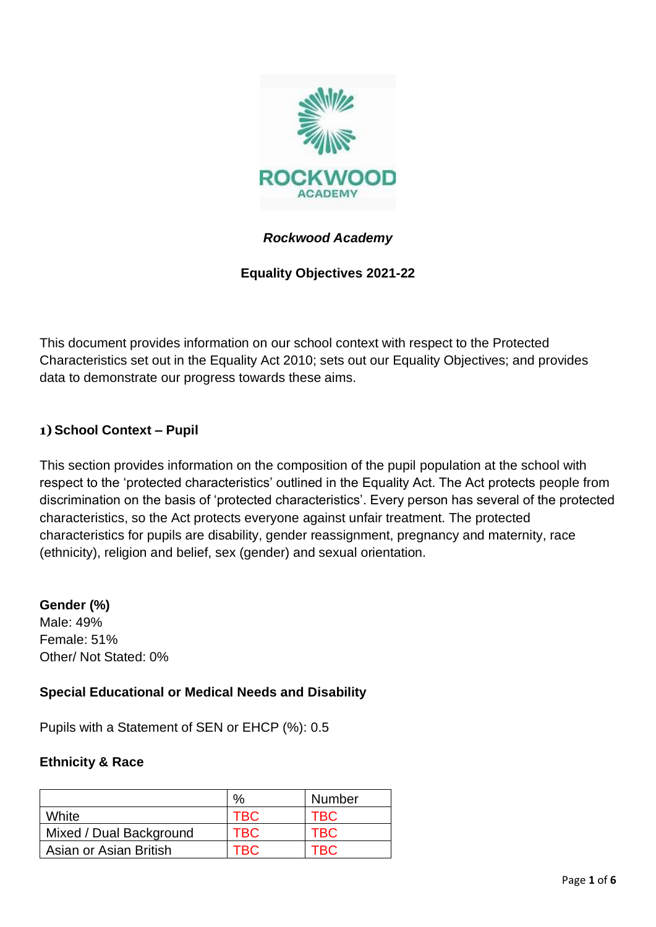

## *Rockwood Academy*

## **Equality Objectives 2021-22**

This document provides information on our school context with respect to the Protected Characteristics set out in the Equality Act 2010; sets out our Equality Objectives; and provides data to demonstrate our progress towards these aims.

## **1) School Context – Pupil**

This section provides information on the composition of the pupil population at the school with respect to the 'protected characteristics' outlined in the Equality Act. The Act protects people from discrimination on the basis of 'protected characteristics'. Every person has several of the protected characteristics, so the Act protects everyone against unfair treatment. The protected characteristics for pupils are disability, gender reassignment, pregnancy and maternity, race (ethnicity), religion and belief, sex (gender) and sexual orientation.

#### **Gender (%)**

Male: 49% Female: 51% Other/ Not Stated: 0%

## **Special Educational or Medical Needs and Disability**

Pupils with a Statement of SEN or EHCP (%): 0.5

#### **Ethnicity & Race**

|                         | $\%$       | <b>Number</b> |
|-------------------------|------------|---------------|
| White                   | <b>TBC</b> | TBC           |
| Mixed / Dual Background | <b>TBC</b> | <b>TBC</b>    |
| Asian or Asian British  | TRC        | $\tau$ BC $-$ |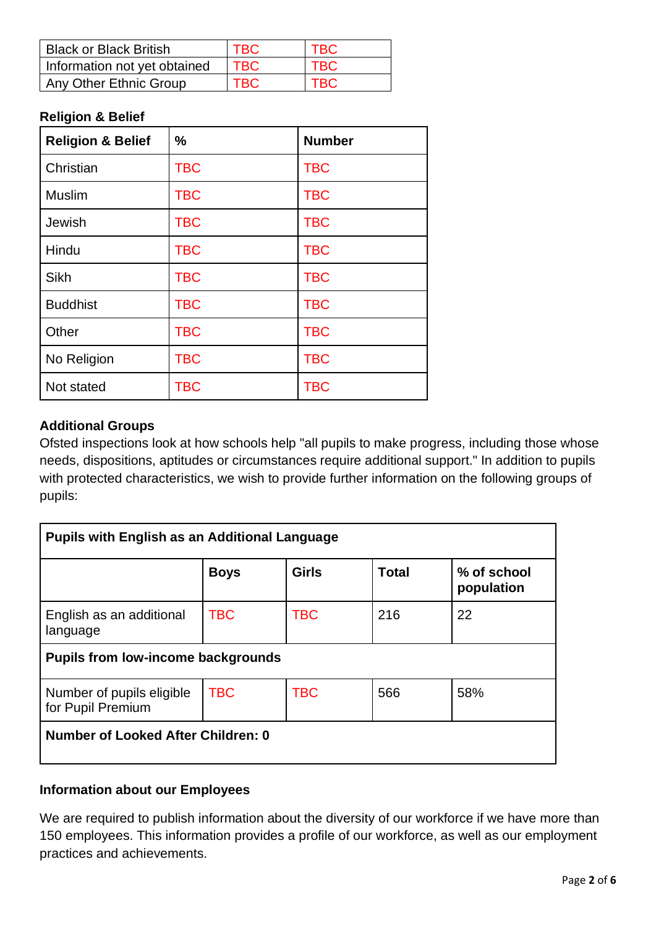| <b>Black or Black British</b> | TBC  | <b>TBC</b> |
|-------------------------------|------|------------|
| Information not yet obtained  | TBC. | <b>TBC</b> |
| Any Other Ethnic Group        | TBC  | <b>TBC</b> |

#### **Religion & Belief**

| <b>Religion &amp; Belief</b> | $\frac{0}{0}$ | <b>Number</b> |
|------------------------------|---------------|---------------|
| Christian                    | <b>TBC</b>    | <b>TBC</b>    |
| <b>Muslim</b>                | <b>TBC</b>    | <b>TBC</b>    |
| Jewish                       | <b>TBC</b>    | <b>TBC</b>    |
| Hindu                        | <b>TBC</b>    | <b>TBC</b>    |
| Sikh                         | <b>TBC</b>    | <b>TBC</b>    |
| <b>Buddhist</b>              | <b>TBC</b>    | <b>TBC</b>    |
| Other                        | <b>TBC</b>    | <b>TBC</b>    |
| No Religion                  | <b>TBC</b>    | <b>TBC</b>    |
| Not stated                   | <b>TBC</b>    | <b>TBC</b>    |

## **Additional Groups**

Ofsted inspections look at how schools help "all pupils to make progress, including those whose needs, dispositions, aptitudes or circumstances require additional support." In addition to pupils with protected characteristics, we wish to provide further information on the following groups of pupils:

| <b>Pupils with English as an Additional Language</b> |             |              |              |                           |
|------------------------------------------------------|-------------|--------------|--------------|---------------------------|
|                                                      | <b>Boys</b> | <b>Girls</b> | <b>Total</b> | % of school<br>population |
| English as an additional<br>language                 | <b>TBC</b>  | <b>TBC</b>   | 216          | 22                        |
| <b>Pupils from low-income backgrounds</b>            |             |              |              |                           |
| Number of pupils eligible<br>for Pupil Premium       | <b>TBC</b>  | <b>TBC</b>   | 566          | 58%                       |
| Number of Looked After Children: 0                   |             |              |              |                           |

## **Information about our Employees**

We are required to publish information about the diversity of our workforce if we have more than 150 employees. This information provides a profile of our workforce, as well as our employment practices and achievements.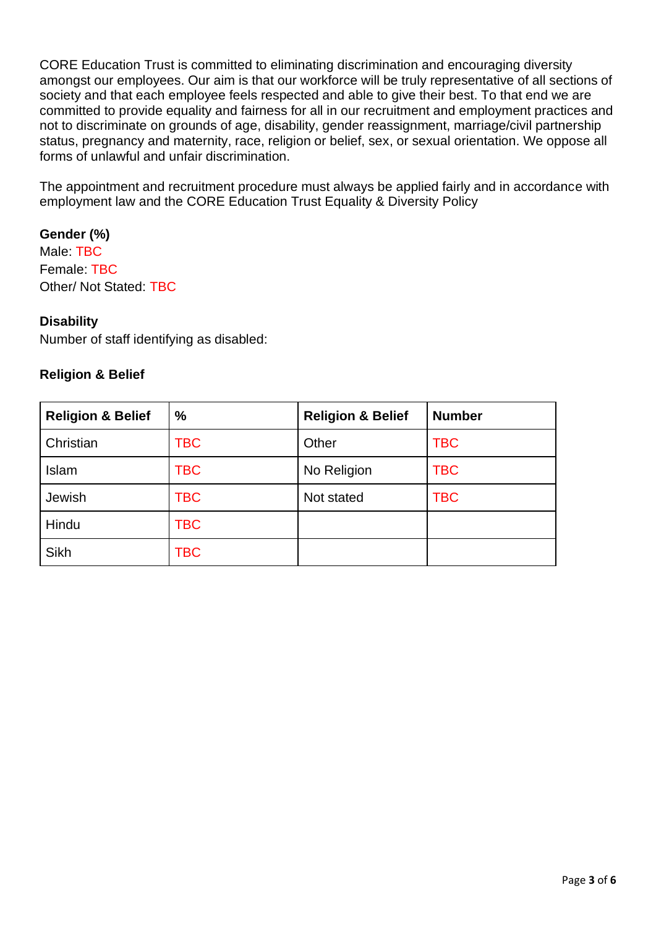CORE Education Trust is committed to eliminating discrimination and encouraging diversity amongst our employees. Our aim is that our workforce will be truly representative of all sections of society and that each employee feels respected and able to give their best. To that end we are committed to provide equality and fairness for all in our recruitment and employment practices and not to discriminate on grounds of age, disability, gender reassignment, marriage/civil partnership status, pregnancy and maternity, race, religion or belief, sex, or sexual orientation. We oppose all forms of unlawful and unfair discrimination.

The appointment and recruitment procedure must always be applied fairly and in accordance with employment law and the CORE Education Trust Equality & Diversity Policy

**Gender (%)** Male: TBC Female: TBC Other/ Not Stated: TBC

#### **Disability**

Number of staff identifying as disabled:

#### **Religion & Belief**

| <b>Religion &amp; Belief</b> | $\%$       | <b>Religion &amp; Belief</b> | <b>Number</b> |
|------------------------------|------------|------------------------------|---------------|
| Christian                    | <b>TBC</b> | Other                        | <b>TBC</b>    |
| Islam                        | <b>TBC</b> | No Religion                  | <b>TBC</b>    |
| Jewish                       | <b>TBC</b> | Not stated                   | <b>TBC</b>    |
| Hindu                        | <b>TBC</b> |                              |               |
| <b>Sikh</b>                  | TBC        |                              |               |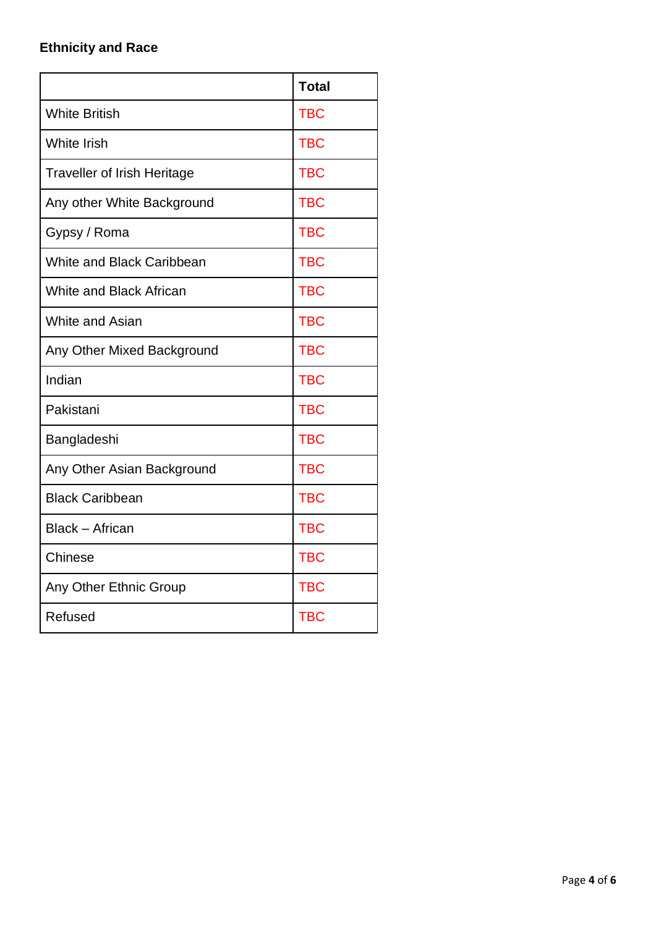# **Ethnicity and Race**

|                                    | <b>Total</b> |
|------------------------------------|--------------|
| <b>White British</b>               | <b>TBC</b>   |
| <b>White Irish</b>                 | <b>TBC</b>   |
| <b>Traveller of Irish Heritage</b> | <b>TBC</b>   |
| Any other White Background         | <b>TBC</b>   |
| Gypsy / Roma                       | <b>TBC</b>   |
| <b>White and Black Caribbean</b>   | <b>TBC</b>   |
| <b>White and Black African</b>     | <b>TBC</b>   |
| White and Asian                    | <b>TBC</b>   |
| Any Other Mixed Background         | <b>TBC</b>   |
| Indian                             | <b>TBC</b>   |
| Pakistani                          | <b>TBC</b>   |
| Bangladeshi                        | <b>TBC</b>   |
| Any Other Asian Background         | <b>TBC</b>   |
| <b>Black Caribbean</b>             | <b>TBC</b>   |
| <b>Black - African</b>             | <b>TBC</b>   |
| Chinese                            | <b>TBC</b>   |
| Any Other Ethnic Group             | <b>TBC</b>   |
| Refused                            | <b>TBC</b>   |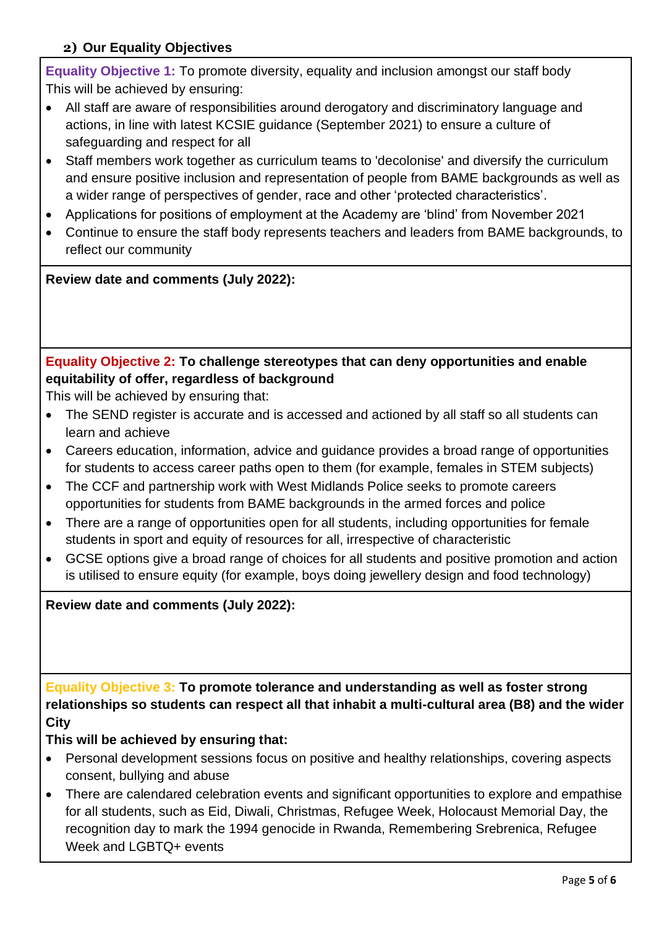## **2) Our Equality Objectives**

**Equality Objective 1:** To promote diversity, equality and inclusion amongst our staff body This will be achieved by ensuring:

- All staff are aware of responsibilities around derogatory and discriminatory language and actions, in line with latest KCSIE guidance (September 2021) to ensure a culture of safeguarding and respect for all
- Staff members work together as curriculum teams to 'decolonise' and diversify the curriculum and ensure positive inclusion and representation of people from BAME backgrounds as well as a wider range of perspectives of gender, race and other 'protected characteristics'.
- Applications for positions of employment at the Academy are 'blind' from November 2021
- Continue to ensure the staff body represents teachers and leaders from BAME backgrounds, to reflect our community

**Review date and comments (July 2022):**

## **Equality Objective 2: To challenge stereotypes that can deny opportunities and enable equitability of offer, regardless of background**

This will be achieved by ensuring that:

- The SEND register is accurate and is accessed and actioned by all staff so all students can learn and achieve
- Careers education, information, advice and guidance provides a broad range of opportunities for students to access career paths open to them (for example, females in STEM subjects)
- The CCF and partnership work with West Midlands Police seeks to promote careers opportunities for students from BAME backgrounds in the armed forces and police
- There are a range of opportunities open for all students, including opportunities for female students in sport and equity of resources for all, irrespective of characteristic
- GCSE options give a broad range of choices for all students and positive promotion and action is utilised to ensure equity (for example, boys doing jewellery design and food technology)

**Review date and comments (July 2022):**

**Equality Objective 3: To promote tolerance and understanding as well as foster strong relationships so students can respect all that inhabit a multi-cultural area (B8) and the wider City**

## **This will be achieved by ensuring that:**

- Personal development sessions focus on positive and healthy relationships, covering aspects consent, bullying and abuse
- There are calendared celebration events and significant opportunities to explore and empathise for all students, such as Eid, Diwali, Christmas, Refugee Week, Holocaust Memorial Day, the recognition day to mark the 1994 genocide in Rwanda, Remembering Srebrenica, Refugee Week and LGBTQ+ events